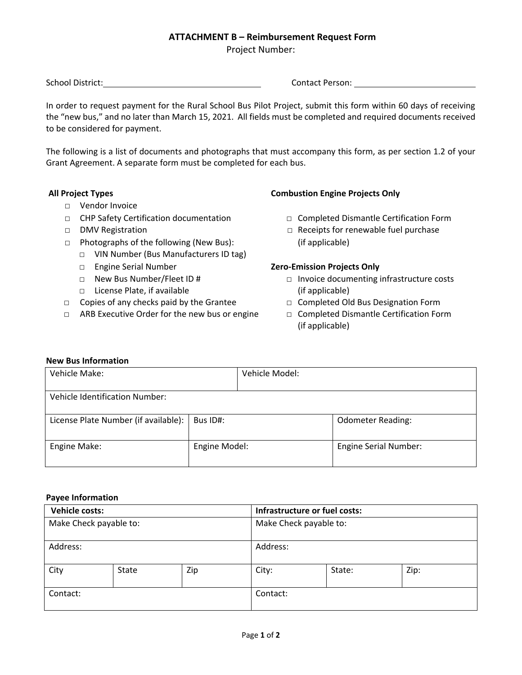## **ATTACHMENT B – Reimbursement Request Form**

Project Number:

School District: Contact Person:

In order to request payment for the Rural School Bus Pilot Project, submit this form within 60 days of receiving the "new bus," and no later than March 15, 2021. All fields must be completed and required documents received to be considered for payment.

The following is a list of documents and photographs that must accompany this form, as per section 1.2 of your Grant Agreement. A separate form must be completed for each bus.

- □ Vendor Invoice
- □ CHP Safety Certification documentation □ Completed Dismantle Certification Form
- 
- □ Photographs of the following (New Bus): (if applicable)
	- □ VIN Number (Bus Manufacturers ID tag)
	-
	-
	- □ License Plate, if available (if applicable)
- □ Copies of any checks paid by the Grantee □ □ Completed Old Bus Designation Form
- □ ARB Executive Order for the new bus or engine □ Completed Dismantle Certification Form

## **All Project Types Combustion Engine Projects Only**

- 
- □ DMV Registration □ DMV Registration □ Purchase □ Receipts for renewable fuel purchase

#### □ Engine Serial Number **Zero-Emission Projects Only**

- □ New Bus Number/Fleet ID # □ Invoice documenting infrastructure costs
	-
	- (if applicable)

#### **New Bus Information**

| Vehicle Make:                        |               | Vehicle Model: |                              |  |  |  |
|--------------------------------------|---------------|----------------|------------------------------|--|--|--|
| Vehicle Identification Number:       |               |                |                              |  |  |  |
| License Plate Number (if available): | Bus ID#:      |                | <b>Odometer Reading:</b>     |  |  |  |
| Engine Make:                         | Engine Model: |                | <b>Engine Serial Number:</b> |  |  |  |

#### **Payee Information**

| Vehicle costs:         |       |                        | Infrastructure or fuel costs: |        |      |
|------------------------|-------|------------------------|-------------------------------|--------|------|
| Make Check payable to: |       | Make Check payable to: |                               |        |      |
| Address:               |       | Address:               |                               |        |      |
| City                   | State | Zip                    | City:                         | State: | Zip: |
| Contact:               |       | Contact:               |                               |        |      |